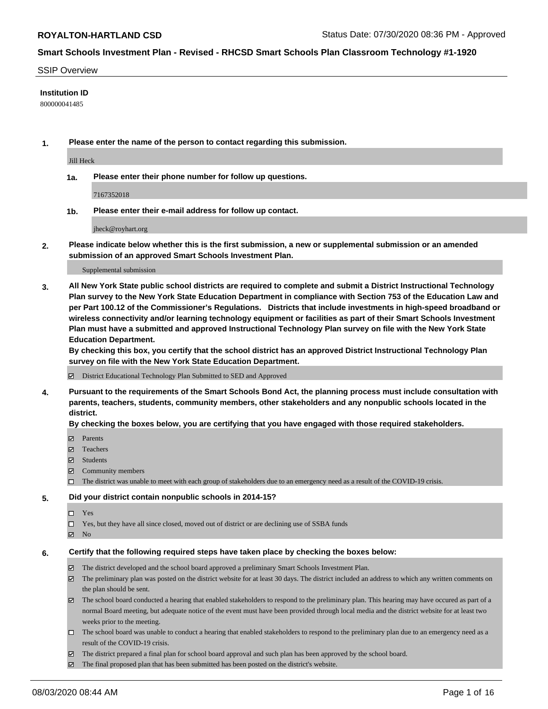#### SSIP Overview

#### **Institution ID**

800000041485

**1. Please enter the name of the person to contact regarding this submission.**

Jill Heck

**1a. Please enter their phone number for follow up questions.**

7167352018

**1b. Please enter their e-mail address for follow up contact.**

jheck@royhart.org

**2. Please indicate below whether this is the first submission, a new or supplemental submission or an amended submission of an approved Smart Schools Investment Plan.**

#### Supplemental submission

**3. All New York State public school districts are required to complete and submit a District Instructional Technology Plan survey to the New York State Education Department in compliance with Section 753 of the Education Law and per Part 100.12 of the Commissioner's Regulations. Districts that include investments in high-speed broadband or wireless connectivity and/or learning technology equipment or facilities as part of their Smart Schools Investment Plan must have a submitted and approved Instructional Technology Plan survey on file with the New York State Education Department.** 

**By checking this box, you certify that the school district has an approved District Instructional Technology Plan survey on file with the New York State Education Department.**

District Educational Technology Plan Submitted to SED and Approved

**4. Pursuant to the requirements of the Smart Schools Bond Act, the planning process must include consultation with parents, teachers, students, community members, other stakeholders and any nonpublic schools located in the district.** 

#### **By checking the boxes below, you are certifying that you have engaged with those required stakeholders.**

- **Parents**
- Teachers
- Students
- $\boxtimes$  Community members
- The district was unable to meet with each group of stakeholders due to an emergency need as a result of the COVID-19 crisis.

## **5. Did your district contain nonpublic schools in 2014-15?**

- $\neg$  Yes
- Yes, but they have all since closed, moved out of district or are declining use of SSBA funds
- **Z** No

## **6. Certify that the following required steps have taken place by checking the boxes below:**

- The district developed and the school board approved a preliminary Smart Schools Investment Plan.
- $\boxtimes$  The preliminary plan was posted on the district website for at least 30 days. The district included an address to which any written comments on the plan should be sent.
- The school board conducted a hearing that enabled stakeholders to respond to the preliminary plan. This hearing may have occured as part of a normal Board meeting, but adequate notice of the event must have been provided through local media and the district website for at least two weeks prior to the meeting.
- The school board was unable to conduct a hearing that enabled stakeholders to respond to the preliminary plan due to an emergency need as a result of the COVID-19 crisis.
- The district prepared a final plan for school board approval and such plan has been approved by the school board.
- $\boxtimes$  The final proposed plan that has been submitted has been posted on the district's website.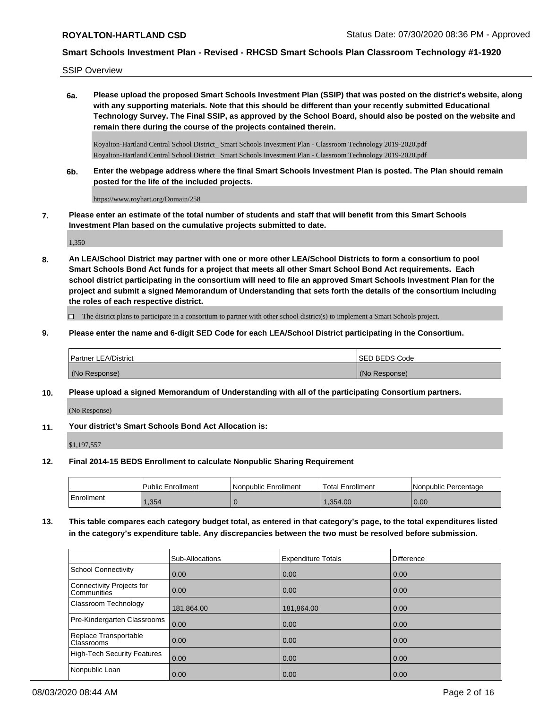SSIP Overview

**6a. Please upload the proposed Smart Schools Investment Plan (SSIP) that was posted on the district's website, along with any supporting materials. Note that this should be different than your recently submitted Educational Technology Survey. The Final SSIP, as approved by the School Board, should also be posted on the website and remain there during the course of the projects contained therein.**

Royalton-Hartland Central School District\_ Smart Schools Investment Plan - Classroom Technology 2019-2020.pdf Royalton-Hartland Central School District\_ Smart Schools Investment Plan - Classroom Technology 2019-2020.pdf

**6b. Enter the webpage address where the final Smart Schools Investment Plan is posted. The Plan should remain posted for the life of the included projects.**

https://www.royhart.org/Domain/258

**7. Please enter an estimate of the total number of students and staff that will benefit from this Smart Schools Investment Plan based on the cumulative projects submitted to date.**

1,350

**8. An LEA/School District may partner with one or more other LEA/School Districts to form a consortium to pool Smart Schools Bond Act funds for a project that meets all other Smart School Bond Act requirements. Each school district participating in the consortium will need to file an approved Smart Schools Investment Plan for the project and submit a signed Memorandum of Understanding that sets forth the details of the consortium including the roles of each respective district.**

 $\Box$  The district plans to participate in a consortium to partner with other school district(s) to implement a Smart Schools project.

**9. Please enter the name and 6-digit SED Code for each LEA/School District participating in the Consortium.**

| <b>Partner LEA/District</b> | <b>ISED BEDS Code</b> |
|-----------------------------|-----------------------|
| (No Response)               | (No Response)         |

**10. Please upload a signed Memorandum of Understanding with all of the participating Consortium partners.**

(No Response)

**11. Your district's Smart Schools Bond Act Allocation is:**

\$1,197,557

**12. Final 2014-15 BEDS Enrollment to calculate Nonpublic Sharing Requirement**

|            | <b>Public Enrollment</b> | l Nonpublic Enrollment | <b>Total Enrollment</b> | l Nonpublic Percentage |
|------------|--------------------------|------------------------|-------------------------|------------------------|
| Enrollment | .354                     |                        | .354.00                 | 0.00                   |

**13. This table compares each category budget total, as entered in that category's page, to the total expenditures listed in the category's expenditure table. Any discrepancies between the two must be resolved before submission.**

|                                                 | <b>Sub-Allocations</b> | <b>Expenditure Totals</b> | Difference |
|-------------------------------------------------|------------------------|---------------------------|------------|
| School Connectivity                             | 0.00                   | 0.00                      | 0.00       |
| Connectivity Projects for<br><b>Communities</b> | 0.00                   | 0.00                      | 0.00       |
| Classroom Technology                            | 181,864.00             | 181,864.00                | 0.00       |
| Pre-Kindergarten Classrooms                     | 0.00                   | 0.00                      | 0.00       |
| Replace Transportable<br><b>Classrooms</b>      | $\overline{0.00}$      | 0.00                      | 0.00       |
| High-Tech Security Features                     | 0.00                   | 0.00                      | 0.00       |
| Nonpublic Loan                                  | $\overline{0.00}$      | 0.00                      | 0.00       |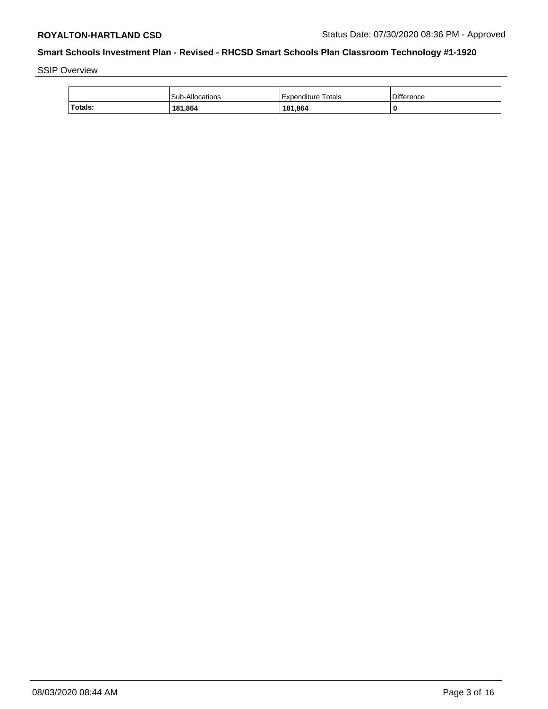SSIP Overview

|         | Sub-Allocations | Expenditure Totals | Difference |
|---------|-----------------|--------------------|------------|
| Totals: | 181,864         | 181,864            |            |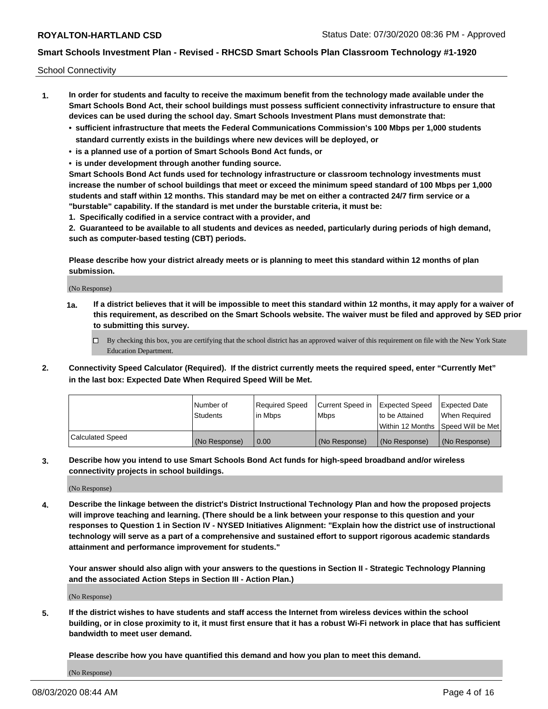School Connectivity

- **1. In order for students and faculty to receive the maximum benefit from the technology made available under the Smart Schools Bond Act, their school buildings must possess sufficient connectivity infrastructure to ensure that devices can be used during the school day. Smart Schools Investment Plans must demonstrate that:**
	- **• sufficient infrastructure that meets the Federal Communications Commission's 100 Mbps per 1,000 students standard currently exists in the buildings where new devices will be deployed, or**
	- **• is a planned use of a portion of Smart Schools Bond Act funds, or**
	- **• is under development through another funding source.**

**Smart Schools Bond Act funds used for technology infrastructure or classroom technology investments must increase the number of school buildings that meet or exceed the minimum speed standard of 100 Mbps per 1,000 students and staff within 12 months. This standard may be met on either a contracted 24/7 firm service or a "burstable" capability. If the standard is met under the burstable criteria, it must be:**

**1. Specifically codified in a service contract with a provider, and**

**2. Guaranteed to be available to all students and devices as needed, particularly during periods of high demand, such as computer-based testing (CBT) periods.**

**Please describe how your district already meets or is planning to meet this standard within 12 months of plan submission.**

(No Response)

**1a. If a district believes that it will be impossible to meet this standard within 12 months, it may apply for a waiver of this requirement, as described on the Smart Schools website. The waiver must be filed and approved by SED prior to submitting this survey.**

 $\Box$  By checking this box, you are certifying that the school district has an approved waiver of this requirement on file with the New York State Education Department.

**2. Connectivity Speed Calculator (Required). If the district currently meets the required speed, enter "Currently Met" in the last box: Expected Date When Required Speed Will be Met.**

|                  | l Number of     | Required Speed | Current Speed in | Expected Speed | Expected Date                        |
|------------------|-----------------|----------------|------------------|----------------|--------------------------------------|
|                  | <b>Students</b> | In Mbps        | <b>Mbps</b>      | to be Attained | When Required                        |
|                  |                 |                |                  |                | Within 12 Months 1Speed Will be Met1 |
| Calculated Speed | (No Response)   | 0.00           | (No Response)    | (No Response)  | l (No Response)                      |

**3. Describe how you intend to use Smart Schools Bond Act funds for high-speed broadband and/or wireless connectivity projects in school buildings.**

(No Response)

**4. Describe the linkage between the district's District Instructional Technology Plan and how the proposed projects will improve teaching and learning. (There should be a link between your response to this question and your responses to Question 1 in Section IV - NYSED Initiatives Alignment: "Explain how the district use of instructional technology will serve as a part of a comprehensive and sustained effort to support rigorous academic standards attainment and performance improvement for students."** 

**Your answer should also align with your answers to the questions in Section II - Strategic Technology Planning and the associated Action Steps in Section III - Action Plan.)**

(No Response)

**5. If the district wishes to have students and staff access the Internet from wireless devices within the school building, or in close proximity to it, it must first ensure that it has a robust Wi-Fi network in place that has sufficient bandwidth to meet user demand.**

**Please describe how you have quantified this demand and how you plan to meet this demand.**

(No Response)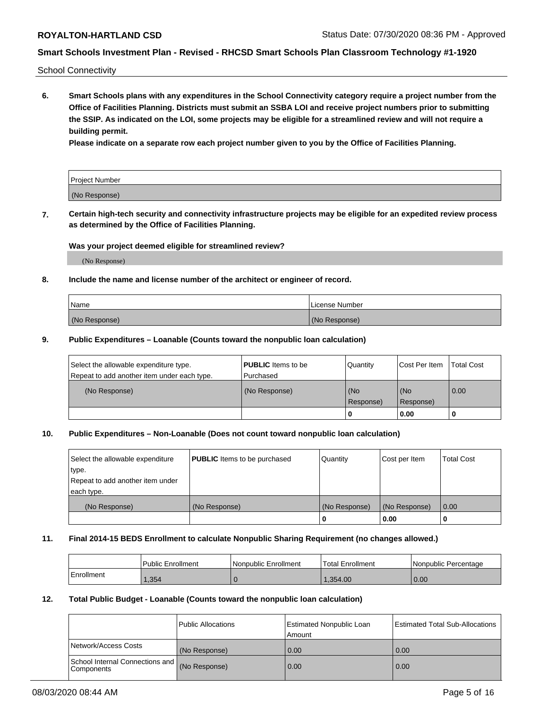School Connectivity

**6. Smart Schools plans with any expenditures in the School Connectivity category require a project number from the Office of Facilities Planning. Districts must submit an SSBA LOI and receive project numbers prior to submitting the SSIP. As indicated on the LOI, some projects may be eligible for a streamlined review and will not require a building permit.**

**Please indicate on a separate row each project number given to you by the Office of Facilities Planning.**

| Project Number |  |
|----------------|--|
| (No Response)  |  |

**7. Certain high-tech security and connectivity infrastructure projects may be eligible for an expedited review process as determined by the Office of Facilities Planning.**

#### **Was your project deemed eligible for streamlined review?**

(No Response)

## **8. Include the name and license number of the architect or engineer of record.**

| Name          | License Number |
|---------------|----------------|
| (No Response) | (No Response)  |

### **9. Public Expenditures – Loanable (Counts toward the nonpublic loan calculation)**

| Select the allowable expenditure type.<br>Repeat to add another item under each type. | <b>PUBLIC</b> Items to be<br>l Purchased | Quantity           | Cost Per Item    | <b>Total Cost</b> |
|---------------------------------------------------------------------------------------|------------------------------------------|--------------------|------------------|-------------------|
| (No Response)                                                                         | (No Response)                            | l (No<br>Response) | (No<br>Response) | $\overline{0.00}$ |
|                                                                                       |                                          | 0                  | 0.00             |                   |

## **10. Public Expenditures – Non-Loanable (Does not count toward nonpublic loan calculation)**

| Select the allowable expenditure<br>type.<br>Repeat to add another item under<br>each type. | <b>PUBLIC</b> Items to be purchased | Quantity      | Cost per Item | <b>Total Cost</b> |
|---------------------------------------------------------------------------------------------|-------------------------------------|---------------|---------------|-------------------|
| (No Response)                                                                               | (No Response)                       | (No Response) | (No Response) | 0.00              |
|                                                                                             |                                     |               | 0.00          |                   |

#### **11. Final 2014-15 BEDS Enrollment to calculate Nonpublic Sharing Requirement (no changes allowed.)**

|            | Public Enrollment | l Nonpublic Enrollment | <b>Total Enrollment</b> | Nonpublic Percentage |
|------------|-------------------|------------------------|-------------------------|----------------------|
| Enrollment | .354              |                        | 1.354.00                | 0.00                 |

### **12. Total Public Budget - Loanable (Counts toward the nonpublic loan calculation)**

|                                                      | Public Allocations | <b>Estimated Nonpublic Loan</b><br>Amount | Estimated Total Sub-Allocations |
|------------------------------------------------------|--------------------|-------------------------------------------|---------------------------------|
| Network/Access Costs                                 | (No Response)      | 0.00                                      | 0.00                            |
| School Internal Connections and<br><b>Components</b> | (No Response)      | 0.00                                      | 0.00                            |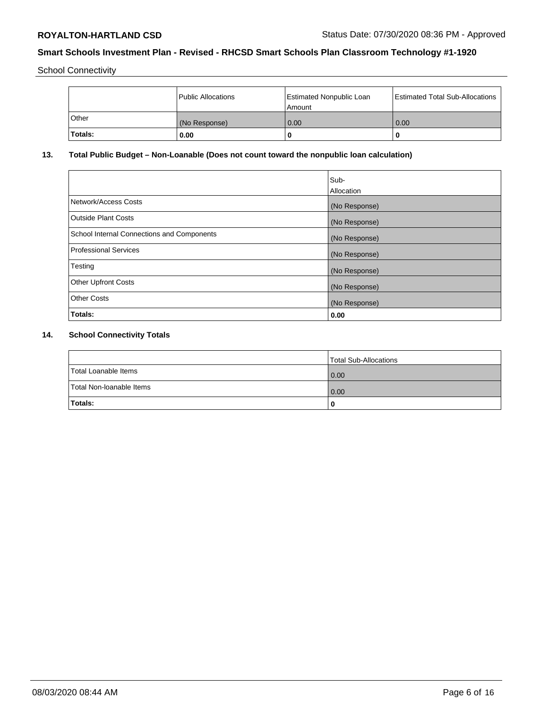School Connectivity

|                | Public Allocations | <b>Estimated Nonpublic Loan</b><br>l Amount | <b>Estimated Total Sub-Allocations</b> |
|----------------|--------------------|---------------------------------------------|----------------------------------------|
| l Other        | (No Response)      | 0.00                                        | 0.00                                   |
| <b>Totals:</b> | 0.00               | 0                                           |                                        |

## **13. Total Public Budget – Non-Loanable (Does not count toward the nonpublic loan calculation)**

|                                                   | Sub-<br>Allocation |
|---------------------------------------------------|--------------------|
|                                                   |                    |
| Network/Access Costs                              | (No Response)      |
| <b>Outside Plant Costs</b>                        | (No Response)      |
| <b>School Internal Connections and Components</b> | (No Response)      |
| Professional Services                             | (No Response)      |
| Testing                                           | (No Response)      |
| <b>Other Upfront Costs</b>                        | (No Response)      |
| <b>Other Costs</b>                                | (No Response)      |
| <b>Totals:</b>                                    | 0.00               |

# **14. School Connectivity Totals**

|                          | Total Sub-Allocations |
|--------------------------|-----------------------|
| Total Loanable Items     | 0.00                  |
| Total Non-Ioanable Items | 0.00                  |
| Totals:                  | 0                     |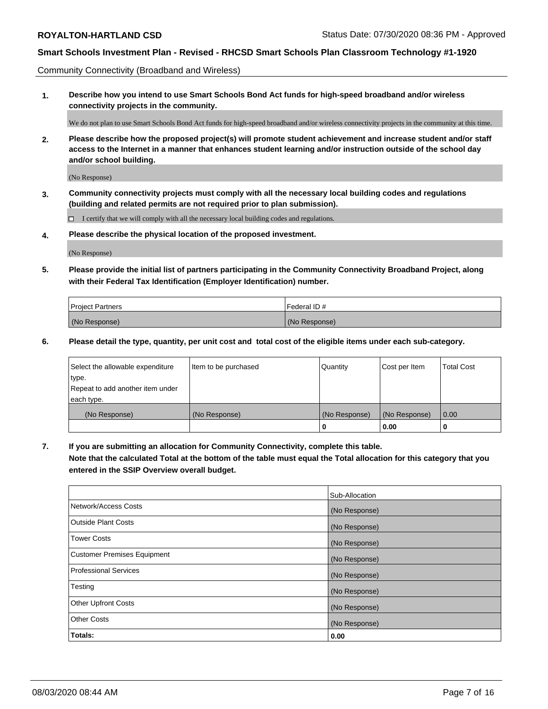Community Connectivity (Broadband and Wireless)

**1. Describe how you intend to use Smart Schools Bond Act funds for high-speed broadband and/or wireless connectivity projects in the community.**

We do not plan to use Smart Schools Bond Act funds for high-speed broadband and/or wireless connectivity projects in the community at this time.

**2. Please describe how the proposed project(s) will promote student achievement and increase student and/or staff access to the Internet in a manner that enhances student learning and/or instruction outside of the school day and/or school building.**

(No Response)

**3. Community connectivity projects must comply with all the necessary local building codes and regulations (building and related permits are not required prior to plan submission).**

 $\Box$  I certify that we will comply with all the necessary local building codes and regulations.

**4. Please describe the physical location of the proposed investment.**

(No Response)

**5. Please provide the initial list of partners participating in the Community Connectivity Broadband Project, along with their Federal Tax Identification (Employer Identification) number.**

| <b>Project Partners</b> | l Federal ID # |
|-------------------------|----------------|
| (No Response)           | (No Response)  |

**6. Please detail the type, quantity, per unit cost and total cost of the eligible items under each sub-category.**

| Select the allowable expenditure | Item to be purchased | Quantity      | Cost per Item | <b>Total Cost</b> |
|----------------------------------|----------------------|---------------|---------------|-------------------|
| type.                            |                      |               |               |                   |
| Repeat to add another item under |                      |               |               |                   |
| each type.                       |                      |               |               |                   |
| (No Response)                    | (No Response)        | (No Response) | (No Response) | 0.00              |
|                                  |                      | o             | 0.00          |                   |

**7. If you are submitting an allocation for Community Connectivity, complete this table.**

**Note that the calculated Total at the bottom of the table must equal the Total allocation for this category that you entered in the SSIP Overview overall budget.**

|                                    | Sub-Allocation |
|------------------------------------|----------------|
| Network/Access Costs               | (No Response)  |
| Outside Plant Costs                | (No Response)  |
| <b>Tower Costs</b>                 | (No Response)  |
| <b>Customer Premises Equipment</b> | (No Response)  |
| <b>Professional Services</b>       | (No Response)  |
| Testing                            | (No Response)  |
| <b>Other Upfront Costs</b>         | (No Response)  |
| <b>Other Costs</b>                 | (No Response)  |
| Totals:                            | 0.00           |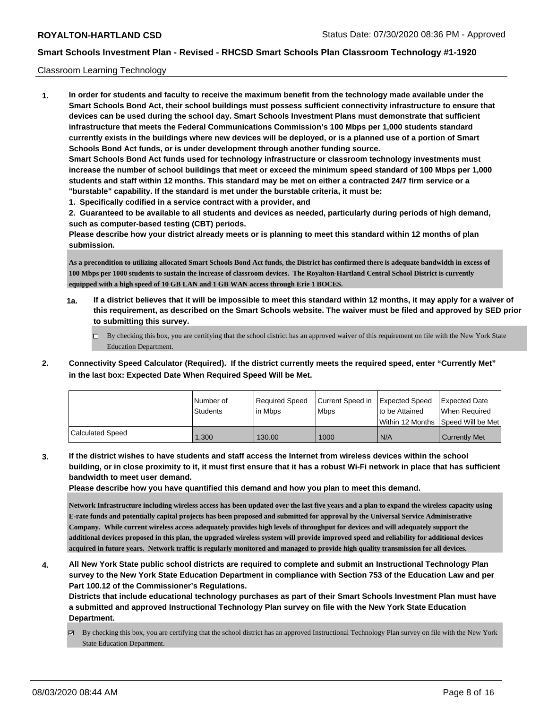### Classroom Learning Technology

**1. In order for students and faculty to receive the maximum benefit from the technology made available under the Smart Schools Bond Act, their school buildings must possess sufficient connectivity infrastructure to ensure that devices can be used during the school day. Smart Schools Investment Plans must demonstrate that sufficient infrastructure that meets the Federal Communications Commission's 100 Mbps per 1,000 students standard currently exists in the buildings where new devices will be deployed, or is a planned use of a portion of Smart Schools Bond Act funds, or is under development through another funding source. Smart Schools Bond Act funds used for technology infrastructure or classroom technology investments must increase the number of school buildings that meet or exceed the minimum speed standard of 100 Mbps per 1,000 students and staff within 12 months. This standard may be met on either a contracted 24/7 firm service or a "burstable" capability. If the standard is met under the burstable criteria, it must be:**

**1. Specifically codified in a service contract with a provider, and**

**2. Guaranteed to be available to all students and devices as needed, particularly during periods of high demand, such as computer-based testing (CBT) periods.**

**Please describe how your district already meets or is planning to meet this standard within 12 months of plan submission.**

**As a precondition to utilizing allocated Smart Schools Bond Act funds, the District has confirmed there is adequate bandwidth in excess of 100 Mbps per 1000 students to sustain the increase of classroom devices. The Royalton-Hartland Central School District is currently equipped with a high speed of 10 GB LAN and 1 GB WAN access through Erie 1 BOCES.**

- **1a. If a district believes that it will be impossible to meet this standard within 12 months, it may apply for a waiver of this requirement, as described on the Smart Schools website. The waiver must be filed and approved by SED prior to submitting this survey.**
	- By checking this box, you are certifying that the school district has an approved waiver of this requirement on file with the New York State Education Department.
- **2. Connectivity Speed Calculator (Required). If the district currently meets the required speed, enter "Currently Met" in the last box: Expected Date When Required Speed Will be Met.**

|                  | l Number of | Required Speed | Current Speed in | Expected Speed | Expected Date                           |
|------------------|-------------|----------------|------------------|----------------|-----------------------------------------|
|                  | Students    | lin Mbps       | <b>Mbps</b>      | to be Attained | When Required                           |
|                  |             |                |                  |                | l Within 12 Months ISpeed Will be Met l |
| Calculated Speed | .300        | 130.00         | 1000             | N/A            | <b>Currently Met</b>                    |

**3. If the district wishes to have students and staff access the Internet from wireless devices within the school building, or in close proximity to it, it must first ensure that it has a robust Wi-Fi network in place that has sufficient bandwidth to meet user demand.**

**Please describe how you have quantified this demand and how you plan to meet this demand.**

**Network Infrastructure including wireless access has been updated over the last five years and a plan to expand the wireless capacity using E-rate funds and potentially capital projects has been proposed and submitted for approval by the Universal Service Administrative Company. While current wireless access adequately provides high levels of throughput for devices and will adequately support the additional devices proposed in this plan, the upgraded wireless system will provide improved speed and reliability for additional devices acquired in future years. Network traffic is regularly monitored and managed to provide high quality transmission for all devices.**

**4. All New York State public school districts are required to complete and submit an Instructional Technology Plan survey to the New York State Education Department in compliance with Section 753 of the Education Law and per Part 100.12 of the Commissioner's Regulations.**

**Districts that include educational technology purchases as part of their Smart Schools Investment Plan must have a submitted and approved Instructional Technology Plan survey on file with the New York State Education Department.**

By checking this box, you are certifying that the school district has an approved Instructional Technology Plan survey on file with the New York State Education Department.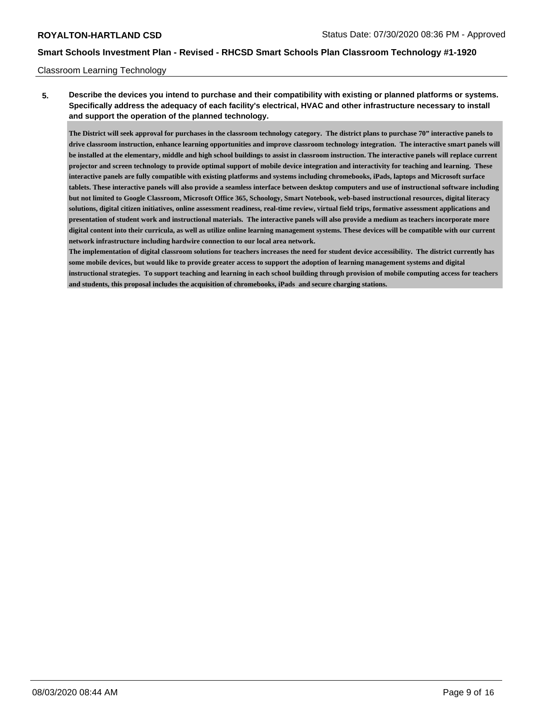### Classroom Learning Technology

**5. Describe the devices you intend to purchase and their compatibility with existing or planned platforms or systems. Specifically address the adequacy of each facility's electrical, HVAC and other infrastructure necessary to install and support the operation of the planned technology.**

**The District will seek approval for purchases in the classroom technology category. The district plans to purchase 70" interactive panels to drive classroom instruction, enhance learning opportunities and improve classroom technology integration. The interactive smart panels will be installed at the elementary, middle and high school buildings to assist in classroom instruction. The interactive panels will replace current projector and screen technology to provide optimal support of mobile device integration and interactivity for teaching and learning. These interactive panels are fully compatible with existing platforms and systems including chromebooks, iPads, laptops and Microsoft surface tablets. These interactive panels will also provide a seamless interface between desktop computers and use of instructional software including but not limited to Google Classroom, Microsoft Office 365, Schoology, Smart Notebook, web-based instructional resources, digital literacy solutions, digital citizen initiatives, online assessment readiness, real-time review, virtual field trips, formative assessment applications and presentation of student work and instructional materials. The interactive panels will also provide a medium as teachers incorporate more digital content into their curricula, as well as utilize online learning management systems. These devices will be compatible with our current network infrastructure including hardwire connection to our local area network.**

**The implementation of digital classroom solutions for teachers increases the need for student device accessibility. The district currently has some mobile devices, but would like to provide greater access to support the adoption of learning management systems and digital instructional strategies. To support teaching and learning in each school building through provision of mobile computing access for teachers and students, this proposal includes the acquisition of chromebooks, iPads and secure charging stations.**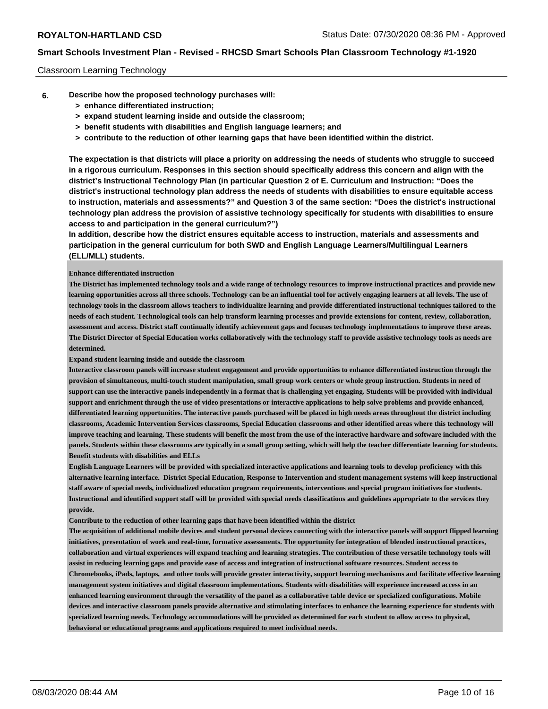### Classroom Learning Technology

- **6. Describe how the proposed technology purchases will:**
	- **> enhance differentiated instruction;**
	- **> expand student learning inside and outside the classroom;**
	- **> benefit students with disabilities and English language learners; and**
	- **> contribute to the reduction of other learning gaps that have been identified within the district.**

**The expectation is that districts will place a priority on addressing the needs of students who struggle to succeed in a rigorous curriculum. Responses in this section should specifically address this concern and align with the district's Instructional Technology Plan (in particular Question 2 of E. Curriculum and Instruction: "Does the district's instructional technology plan address the needs of students with disabilities to ensure equitable access to instruction, materials and assessments?" and Question 3 of the same section: "Does the district's instructional technology plan address the provision of assistive technology specifically for students with disabilities to ensure access to and participation in the general curriculum?")**

**In addition, describe how the district ensures equitable access to instruction, materials and assessments and participation in the general curriculum for both SWD and English Language Learners/Multilingual Learners (ELL/MLL) students.**

#### **Enhance differentiated instruction**

**The District has implemented technology tools and a wide range of technology resources to improve instructional practices and provide new learning opportunities across all three schools. Technology can be an influential tool for actively engaging learners at all levels. The use of technology tools in the classroom allows teachers to individualize learning and provide differentiated instructional techniques tailored to the needs of each student. Technological tools can help transform learning processes and provide extensions for content, review, collaboration, assessment and access. District staff continually identify achievement gaps and focuses technology implementations to improve these areas. The District Director of Special Education works collaboratively with the technology staff to provide assistive technology tools as needs are determined.**

**Expand student learning inside and outside the classroom**

**Interactive classroom panels will increase student engagement and provide opportunities to enhance differentiated instruction through the provision of simultaneous, multi-touch student manipulation, small group work centers or whole group instruction. Students in need of support can use the interactive panels independently in a format that is challenging yet engaging. Students will be provided with individual support and enrichment through the use of video presentations or interactive applications to help solve problems and provide enhanced, differentiated learning opportunities. The interactive panels purchased will be placed in high needs areas throughout the district including classrooms, Academic Intervention Services classrooms, Special Education classrooms and other identified areas where this technology will improve teaching and learning. These students will benefit the most from the use of the interactive hardware and software included with the panels. Students within these classrooms are typically in a small group setting, which will help the teacher differentiate learning for students. Benefit students with disabilities and ELLs**

**English Language Learners will be provided with specialized interactive applications and learning tools to develop proficiency with this alternative learning interface. District Special Education, Response to Intervention and student management systems will keep instructional staff aware of special needs, individualized education program requirements, interventions and special program initiatives for students. Instructional and identified support staff will be provided with special needs classifications and guidelines appropriate to the services they provide.**

**Contribute to the reduction of other learning gaps that have been identified within the district**

**The acquisition of additional mobile devices and student personal devices connecting with the interactive panels will support flipped learning initiatives, presentation of work and real-time, formative assessments. The opportunity for integration of blended instructional practices, collaboration and virtual experiences will expand teaching and learning strategies. The contribution of these versatile technology tools will assist in reducing learning gaps and provide ease of access and integration of instructional software resources. Student access to Chromebooks, iPads, laptops, and other tools will provide greater interactivity, support learning mechanisms and facilitate effective learning management system initiatives and digital classroom implementations. Students with disabilities will experience increased access in an enhanced learning environment through the versatility of the panel as a collaborative table device or specialized configurations. Mobile devices and interactive classroom panels provide alternative and stimulating interfaces to enhance the learning experience for students with specialized learning needs. Technology accommodations will be provided as determined for each student to allow access to physical, behavioral or educational programs and applications required to meet individual needs.**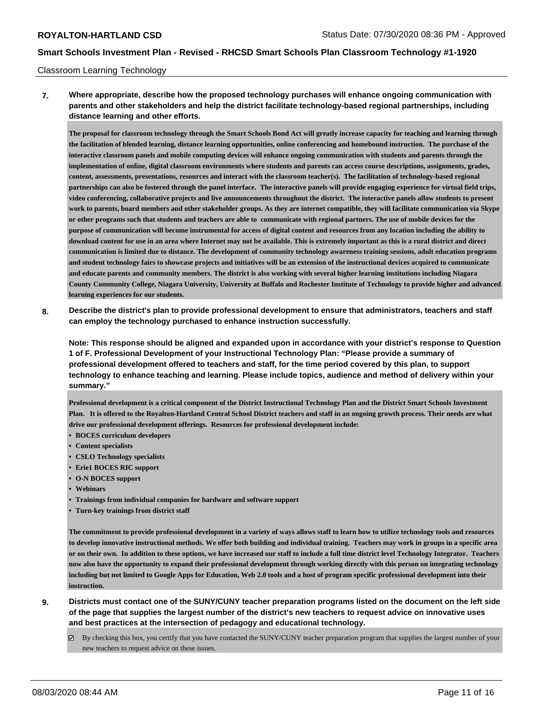#### Classroom Learning Technology

**7. Where appropriate, describe how the proposed technology purchases will enhance ongoing communication with parents and other stakeholders and help the district facilitate technology-based regional partnerships, including distance learning and other efforts.**

**The proposal for classroom technology through the Smart Schools Bond Act will greatly increase capacity for teaching and learning through the facilitation of blended learning, distance learning opportunities, online conferencing and homebound instruction. The purchase of the interactive classroom panels and mobile computing devices will enhance ongoing communication with students and parents through the implementation of online, digital classroom environments where students and parents can access course descriptions, assignments, grades, content, assessments, presentations, resources and interact with the classroom teacher(s). The facilitation of technology-based regional partnerships can also be fostered through the panel interface. The interactive panels will provide engaging experience for virtual field trips, video conferencing, collaborative projects and live announcements throughout the district. The interactive panels allow students to present work to parents, board members and other stakeholder groups. As they are internet compatible, they will facilitate communication via Skype or other programs such that students and teachers are able to communicate with regional partners. The use of mobile devices for the purpose of communication will become instrumental for access of digital content and resources from any location including the ability to download content for use in an area where Internet may not be available. This is extremely important as this is a rural district and direct communication is limited due to distance. The development of community technology awareness training sessions, adult education programs and student technology fairs to showcase projects and initiatives will be an extension of the instructional devices acquired to communicate and educate parents and community members. The district is also working with several higher learning institutions including Niagara County Community College, Niagara University, University at Buffalo and Rochester Institute of Technology to provide higher and advanced learning experiences for our students.**

**8. Describe the district's plan to provide professional development to ensure that administrators, teachers and staff can employ the technology purchased to enhance instruction successfully.**

**Note: This response should be aligned and expanded upon in accordance with your district's response to Question 1 of F. Professional Development of your Instructional Technology Plan: "Please provide a summary of professional development offered to teachers and staff, for the time period covered by this plan, to support technology to enhance teaching and learning. Please include topics, audience and method of delivery within your summary."**

**Professional development is a critical component of the District Instructional Technology Plan and the District Smart Schools Investment Plan. It is offered to the Royalton-Hartland Central School District teachers and staff in an ongoing growth process. Their needs are what drive our professional development offerings. Resources for professional development include:**

- **• BOCES curriculum developers**
- **• Content specialists**
- **• CSLO Technology specialists**
- **• Erie1 BOCES RIC support**
- **• O-N BOCES support**
- **• Webinars**
- **• Trainings from individual companies for hardware and software support**
- **• Turn-key trainings from district staff**

**The commitment to provide professional development in a variety of ways allows staff to learn how to utilize technology tools and resources to develop innovative instructional methods. We offer both building and individual training. Teachers may work in groups in a specific area or on their own. In addition to these options, we have increased our staff to include a full time district level Technology Integrator. Teachers now also have the opportunity to expand their professional development through working directly with this person on integrating technology including but not limited to Google Apps for Education, Web 2.0 tools and a host of program specific professional development into their instruction.**

- **9. Districts must contact one of the SUNY/CUNY teacher preparation programs listed on the document on the left side of the page that supplies the largest number of the district's new teachers to request advice on innovative uses and best practices at the intersection of pedagogy and educational technology.**
	- By checking this box, you certify that you have contacted the SUNY/CUNY teacher preparation program that supplies the largest number of your new teachers to request advice on these issues.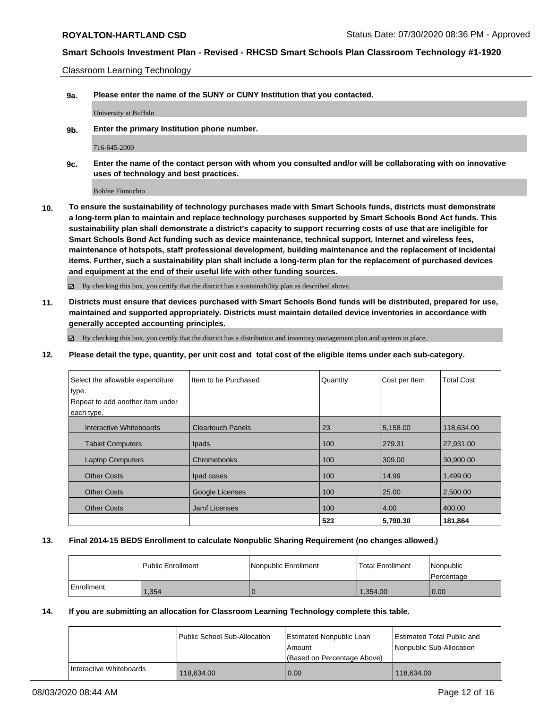Classroom Learning Technology

**9a. Please enter the name of the SUNY or CUNY Institution that you contacted.**

University at Buffalo

**9b. Enter the primary Institution phone number.**

716-645-2000

**9c. Enter the name of the contact person with whom you consulted and/or will be collaborating with on innovative uses of technology and best practices.**

Bobbie Finnochio

**10. To ensure the sustainability of technology purchases made with Smart Schools funds, districts must demonstrate a long-term plan to maintain and replace technology purchases supported by Smart Schools Bond Act funds. This sustainability plan shall demonstrate a district's capacity to support recurring costs of use that are ineligible for Smart Schools Bond Act funding such as device maintenance, technical support, Internet and wireless fees, maintenance of hotspots, staff professional development, building maintenance and the replacement of incidental items. Further, such a sustainability plan shall include a long-term plan for the replacement of purchased devices and equipment at the end of their useful life with other funding sources.**

By checking this box, you certify that the district has a sustainability plan as described above.

**11. Districts must ensure that devices purchased with Smart Schools Bond funds will be distributed, prepared for use, maintained and supported appropriately. Districts must maintain detailed device inventories in accordance with generally accepted accounting principles.**

 $\boxtimes$  By checking this box, you certify that the district has a distribution and inventory management plan and system in place.

**12. Please detail the type, quantity, per unit cost and total cost of the eligible items under each sub-category.**

| Select the allowable expenditure<br>type. | Item to be Purchased     | Quantity | Cost per Item | <b>Total Cost</b> |
|-------------------------------------------|--------------------------|----------|---------------|-------------------|
| Repeat to add another item under          |                          |          |               |                   |
| each type.                                |                          |          |               |                   |
| Interactive Whiteboards                   | <b>Cleartouch Panels</b> | 23       | 5,158.00      | 118,634.00        |
| <b>Tablet Computers</b>                   | Ipads                    | 100      | 279.31        | 27,931.00         |
| <b>Laptop Computers</b>                   | Chromebooks              | 100      | 309.00        | 30,900.00         |
| <b>Other Costs</b>                        | Ipad cases               | 100      | 14.99         | 1,499.00          |
| <b>Other Costs</b>                        | Google Licenses          | 100      | 25.00         | 2,500.00          |
| <b>Other Costs</b>                        | <b>Jamf Licenses</b>     | 100      | 4.00          | 400.00            |
|                                           |                          | 523      | 5,790.30      | 181,864           |

## **13. Final 2014-15 BEDS Enrollment to calculate Nonpublic Sharing Requirement (no changes allowed.)**

|            | Public Enrollment | Nonpublic Enrollment | Total Enrollment | Nonpublic<br>Percentage |
|------------|-------------------|----------------------|------------------|-------------------------|
| Enrollment | ,354              |                      | 1.354.00         | 0.00                    |

#### **14. If you are submitting an allocation for Classroom Learning Technology complete this table.**

|                         | Public School Sub-Allocation | Estimated Nonpublic Loan<br>Amount<br>(Based on Percentage Above) | Estimated Total Public and<br>Nonpublic Sub-Allocation |
|-------------------------|------------------------------|-------------------------------------------------------------------|--------------------------------------------------------|
| Interactive Whiteboards | 118.634.00                   | 0.00                                                              | 118.634.00                                             |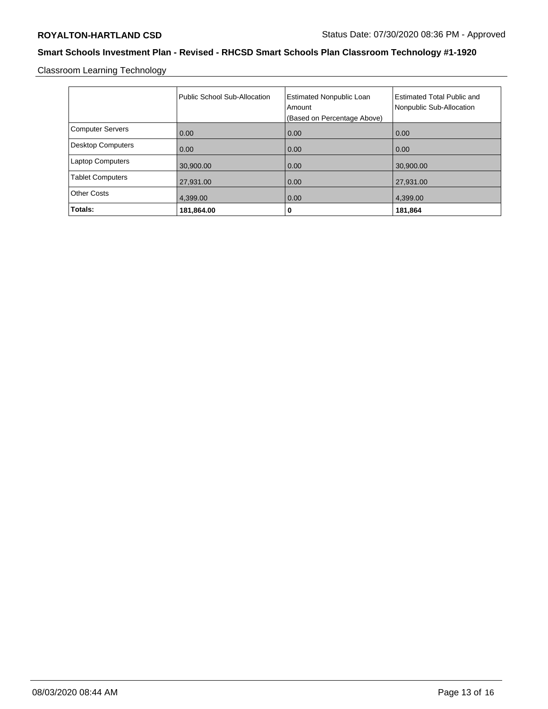Classroom Learning Technology

|                          | Public School Sub-Allocation | <b>Estimated Nonpublic Loan</b><br>Amount<br>(Based on Percentage Above) | <b>Estimated Total Public and</b><br>Nonpublic Sub-Allocation |
|--------------------------|------------------------------|--------------------------------------------------------------------------|---------------------------------------------------------------|
| <b>Computer Servers</b>  | 0.00                         | 0.00                                                                     | 0.00                                                          |
| <b>Desktop Computers</b> | 0.00                         | 0.00                                                                     | 0.00                                                          |
| <b>Laptop Computers</b>  | 30,900.00                    | 0.00                                                                     | 30,900.00                                                     |
| <b>Tablet Computers</b>  | 27,931.00                    | 0.00                                                                     | 27,931.00                                                     |
| <b>Other Costs</b>       | 4,399.00                     | 0.00                                                                     | 4,399.00                                                      |
| Totals:                  | 181,864.00                   | 0                                                                        | 181,864                                                       |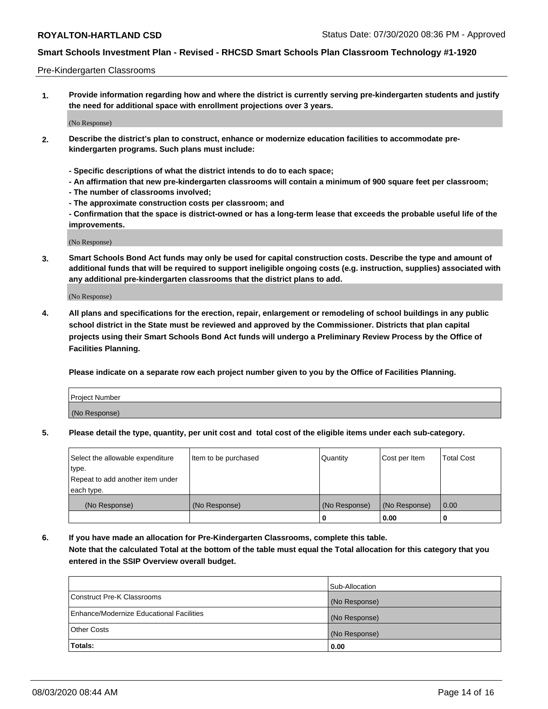### Pre-Kindergarten Classrooms

**1. Provide information regarding how and where the district is currently serving pre-kindergarten students and justify the need for additional space with enrollment projections over 3 years.**

(No Response)

- **2. Describe the district's plan to construct, enhance or modernize education facilities to accommodate prekindergarten programs. Such plans must include:**
	- **Specific descriptions of what the district intends to do to each space;**
	- **An affirmation that new pre-kindergarten classrooms will contain a minimum of 900 square feet per classroom;**
	- **The number of classrooms involved;**
	- **The approximate construction costs per classroom; and**
	- **Confirmation that the space is district-owned or has a long-term lease that exceeds the probable useful life of the improvements.**

(No Response)

**3. Smart Schools Bond Act funds may only be used for capital construction costs. Describe the type and amount of additional funds that will be required to support ineligible ongoing costs (e.g. instruction, supplies) associated with any additional pre-kindergarten classrooms that the district plans to add.**

(No Response)

**4. All plans and specifications for the erection, repair, enlargement or remodeling of school buildings in any public school district in the State must be reviewed and approved by the Commissioner. Districts that plan capital projects using their Smart Schools Bond Act funds will undergo a Preliminary Review Process by the Office of Facilities Planning.**

**Please indicate on a separate row each project number given to you by the Office of Facilities Planning.**

| Project Number |  |
|----------------|--|
| (No Response)  |  |
|                |  |

**5. Please detail the type, quantity, per unit cost and total cost of the eligible items under each sub-category.**

| Select the allowable expenditure | Item to be purchased | Quantity      | Cost per Item | <b>Total Cost</b> |
|----------------------------------|----------------------|---------------|---------------|-------------------|
| type.                            |                      |               |               |                   |
| Repeat to add another item under |                      |               |               |                   |
| each type.                       |                      |               |               |                   |
| (No Response)                    | (No Response)        | (No Response) | (No Response) | 0.00              |
|                                  |                      | U             | 0.00          |                   |

**6. If you have made an allocation for Pre-Kindergarten Classrooms, complete this table. Note that the calculated Total at the bottom of the table must equal the Total allocation for this category that you entered in the SSIP Overview overall budget.**

|                                          | Sub-Allocation |
|------------------------------------------|----------------|
| Construct Pre-K Classrooms               | (No Response)  |
| Enhance/Modernize Educational Facilities | (No Response)  |
| <b>Other Costs</b>                       | (No Response)  |
| Totals:                                  | 0.00           |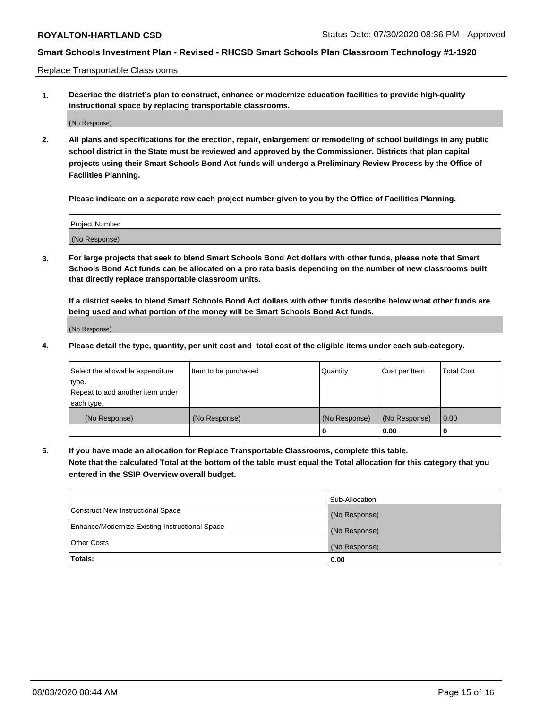Replace Transportable Classrooms

**1. Describe the district's plan to construct, enhance or modernize education facilities to provide high-quality instructional space by replacing transportable classrooms.**

(No Response)

**2. All plans and specifications for the erection, repair, enlargement or remodeling of school buildings in any public school district in the State must be reviewed and approved by the Commissioner. Districts that plan capital projects using their Smart Schools Bond Act funds will undergo a Preliminary Review Process by the Office of Facilities Planning.**

**Please indicate on a separate row each project number given to you by the Office of Facilities Planning.**

| Project Number |  |
|----------------|--|
|                |  |
| (No Response)  |  |

**3. For large projects that seek to blend Smart Schools Bond Act dollars with other funds, please note that Smart Schools Bond Act funds can be allocated on a pro rata basis depending on the number of new classrooms built that directly replace transportable classroom units.**

**If a district seeks to blend Smart Schools Bond Act dollars with other funds describe below what other funds are being used and what portion of the money will be Smart Schools Bond Act funds.**

(No Response)

**4. Please detail the type, quantity, per unit cost and total cost of the eligible items under each sub-category.**

| Select the allowable expenditure | Item to be purchased | Quantity      | Cost per Item | Total Cost |
|----------------------------------|----------------------|---------------|---------------|------------|
| ∣type.                           |                      |               |               |            |
| Repeat to add another item under |                      |               |               |            |
| each type.                       |                      |               |               |            |
| (No Response)                    | (No Response)        | (No Response) | (No Response) | 0.00       |
|                                  |                      | u             | 0.00          |            |

**5. If you have made an allocation for Replace Transportable Classrooms, complete this table. Note that the calculated Total at the bottom of the table must equal the Total allocation for this category that you entered in the SSIP Overview overall budget.**

|                                                | Sub-Allocation |
|------------------------------------------------|----------------|
| Construct New Instructional Space              | (No Response)  |
| Enhance/Modernize Existing Instructional Space | (No Response)  |
| <b>Other Costs</b>                             | (No Response)  |
| Totals:                                        | 0.00           |